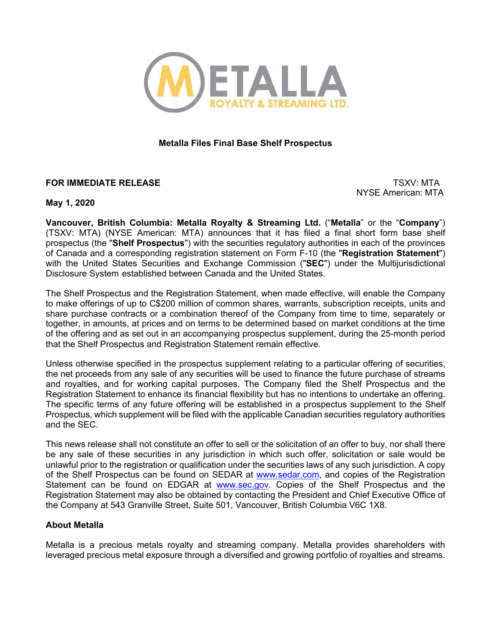

# **Metalla Files Final Base Shelf Prospectus**

# **FOR IMMEDIATE RELEASE** THE SECOND SECOND ASSESSMENT OF THE SECOND AND TO A SECOND A SECOND ASSESSMENT OF THE SECOND SECOND SECOND ASSESSMENT OF THE SECOND SECOND SECOND SECOND ASSESSMENT OF THE SECOND SECOND SECOND SECOND

NYSE American: MTA

# **May 1, 2020**

**Vancouver, British Columbia: Metalla Royalty & Streaming Ltd.** ("**Metalla**" or the "**Company**") (TSXV: MTA) (NYSE American: MTA) announces that it has filed a final short form base shelf prospectus (the "**Shelf Prospectus**") with the securities regulatory authorities in each of the provinces of Canada and a corresponding registration statement on Form F-10 (the "**Registration Statement**") with the United States Securities and Exchange Commission ("**SEC**") under the Multijurisdictional Disclosure System established between Canada and the United States.

The Shelf Prospectus and the Registration Statement, when made effective, will enable the Company to make offerings of up to C\$200 million of common shares, warrants, subscription receipts, units and share purchase contracts or a combination thereof of the Company from time to time, separately or together, in amounts, at prices and on terms to be determined based on market conditions at the time of the offering and as set out in an accompanying prospectus supplement, during the 25-month period that the Shelf Prospectus and Registration Statement remain effective.

Unless otherwise specified in the prospectus supplement relating to a particular offering of securities, the net proceeds from any sale of any securities will be used to finance the future purchase of streams and royalties, and for working capital purposes. The Company filed the Shelf Prospectus and the Registration Statement to enhance its financial flexibility but has no intentions to undertake an offering. The specific terms of any future offering will be established in a prospectus supplement to the Shelf Prospectus, which supplement will be filed with the applicable Canadian securities regulatory authorities and the SEC.

This news release shall not constitute an offer to sell or the solicitation of an offer to buy, nor shall there be any sale of these securities in any jurisdiction in which such offer, solicitation or sale would be unlawful prior to the registration or qualification under the securities laws of any such jurisdiction. A copy of the Shelf Prospectus can be found on SEDAR at www.sedar.com, and copies of the Registration Statement can be found on EDGAR at www.sec.gov. Copies of the Shelf Prospectus and the Registration Statement may also be obtained by contacting the President and Chief Executive Office of the Company at 543 Granville Street, Suite 501, Vancouver, British Columbia V6C 1X8.

# **About Metalla**

Metalla is a precious metals royalty and streaming company. Metalla provides shareholders with leveraged precious metal exposure through a diversified and growing portfolio of royalties and streams.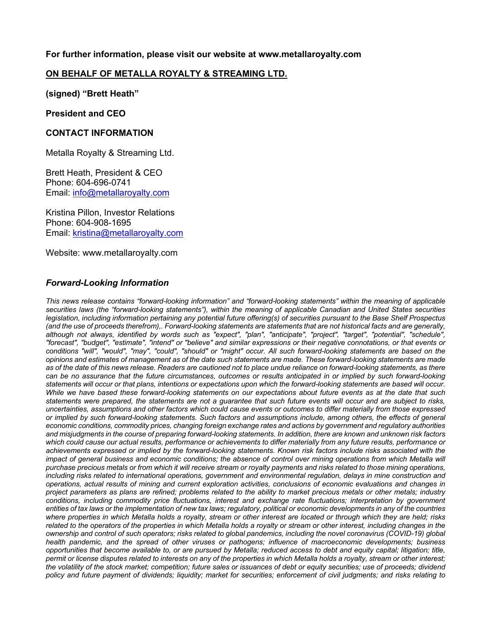#### **For further information, please visit our website at www.metallaroyalty.com**

### **ON BEHALF OF METALLA ROYALTY & STREAMING LTD.**

**(signed) "Brett Heath"**

**President and CEO**

### **CONTACT INFORMATION**

Metalla Royalty & Streaming Ltd.

Brett Heath, President & CEO Phone: 604-696-0741 Email: info@metallaroyalty.com

Kristina Pillon, Investor Relations Phone: 604-908-1695 Email: kristina@metallaroyalty.com

Website: www.metallaroyalty.com

### *Forward-Looking Information*

*This news release contains "forward-looking information" and "forward-looking statements" within the meaning of applicable securities laws (the "forward-looking statements"), within the meaning of applicable Canadian and United States securities legislation, including information pertaining any potential future offering(s) of securities pursuant to the Base Shelf Prospectus (and the use of proceeds therefrom),. Forward-looking statements are statements that are not historical facts and are generally, although not always, identified by words such as "expect", "plan", "anticipate", "project", "target", "potential", "schedule", "forecast", "budget", "estimate", "intend" or "believe" and similar expressions or their negative connotations, or that events or conditions "will", "would", "may", "could", "should" or "might" occur. All such forward-looking statements are based on the opinions and estimates of management as of the date such statements are made. These forward-looking statements are made as of the date of this news release. Readers are cautioned not to place undue reliance on forward-looking statements, as there can be no assurance that the future circumstances, outcomes or results anticipated in or implied by such forward-looking statements will occur or that plans, intentions or expectations upon which the forward-looking statements are based will occur. While we have based these forward-looking statements on our expectations about future events as at the date that such statements were prepared, the statements are not a guarantee that such future events will occur and are subject to risks, uncertainties, assumptions and other factors which could cause events or outcomes to differ materially from those expressed or implied by such forward-looking statements. Such factors and assumptions include, among others, the effects of general economic conditions, commodity prices, changing foreign exchange rates and actions by government and regulatory authorities and misjudgments in the course of preparing forward-looking statements. In addition, there are known and unknown risk factors which could cause our actual results, performance or achievements to differ materially from any future results, performance or achievements expressed or implied by the forward-looking statements. Known risk factors include risks associated with the impact of general business and economic conditions; the absence of control over mining operations from which Metalla will purchase precious metals or from which it will receive stream or royalty payments and risks related to those mining operations, including risks related to international operations, government and environmental regulation, delays in mine construction and operations, actual results of mining and current exploration activities, conclusions of economic evaluations and changes in project parameters as plans are refined; problems related to the ability to market precious metals or other metals; industry conditions, including commodity price fluctuations, interest and exchange rate fluctuations; interpretation by government entities of tax laws or the implementation of new tax laws; regulatory, political or economic developments in any of the countries where properties in which Metalla holds a royalty, stream or other interest are located or through which they are held; risks* related to the operators of the properties in which Metalla holds a royalty or stream or other interest, including changes in the *ownership and control of such operators; risks related to global pandemics, including the novel coronavirus (COVID-19) global health pandemic, and the spread of other viruses or pathogens; influence of macroeconomic developments; business opportunities that become available to, or are pursued by Metalla; reduced access to debt and equity capital; litigation; title, permit or license disputes related to interests on any of the properties in which Metalla holds a royalty, stream or other interest; the volatility of the stock market; competition; future sales or issuances of debt or equity securities; use of proceeds; dividend policy and future payment of dividends; liquidity; market for securities; enforcement of civil judgments; and risks relating to*